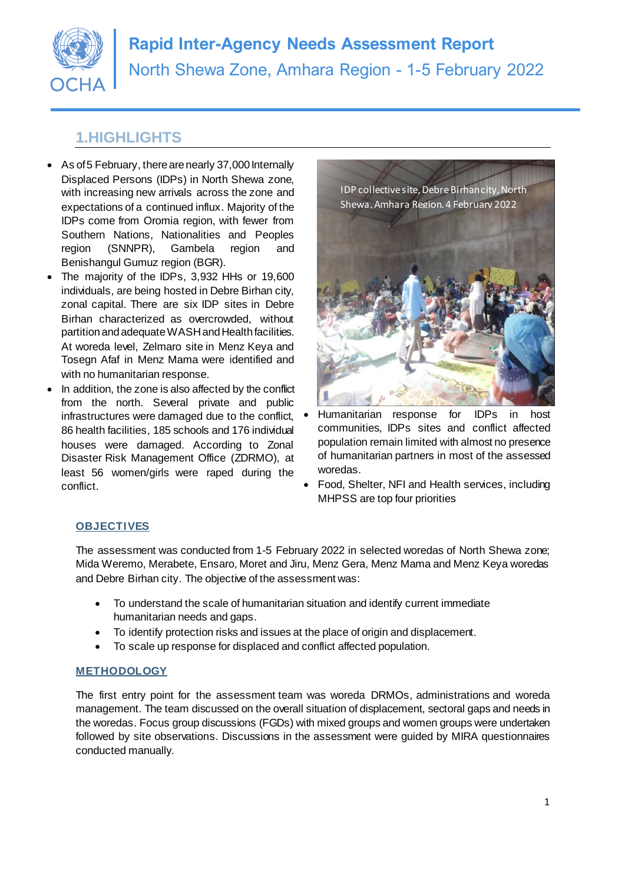

# **1.HIGHLIGHTS**

- As of 5 February, there are nearly 37,000 Internally Displaced Persons (IDPs) in North Shewa zone, with increasing new arrivals across the zone and expectations of a continued influx. Majority of the IDPs come from Oromia region, with fewer from Southern Nations, Nationalities and Peoples region (SNNPR), Gambela region and Benishangul Gumuz region (BGR).
- The majority of the IDPs, 3,932 HHs or 19,600 individuals, are being hosted in Debre Birhan city, zonal capital. There are six IDP sites in Debre Birhan characterized as overcrowded, without partition and adequate WASH and Health facilities. At woreda level, Zelmaro site in Menz Keya and Tosegn Afaf in Menz Mama were identified and with no humanitarian response.
- In addition, the zone is also affected by the conflict from the north. Several private and public infrastructures were damaged due to the conflict, 86 health facilities, 185 schools and 176 individual houses were damaged. According to Zonal Disaster Risk Management Office (ZDRMO), at least 56 women/girls were raped during the conflict.

IDP collective site, Debre Birhan city, North Shewa,Amhara Region. 4 February 2022



- Humanitarian response for IDPs in host communities, IDPs sites and conflict affected population remain limited with almost no presence of humanitarian partners in most of the assessed woredas.
- Food, Shelter, NFI and Health services, including MHPSS are top four priorities

### **OBJECTIVES**

The assessment was conducted from 1-5 February 2022 in selected woredas of North Shewa zone; Mida Weremo, Merabete, Ensaro, Moret and Jiru, Menz Gera, Menz Mama and Menz Keya woredas and Debre Birhan city. The objective of the assessment was:

- To understand the scale of humanitarian situation and identify current immediate humanitarian needs and gaps.
- To identify protection risks and issues at the place of origin and displacement.
- To scale up response for displaced and conflict affected population.

### **METHODOLOGY**

The first entry point for the assessment team was woreda DRMOs, administrations and woreda management. The team discussed on the overall situation of displacement, sectoral gaps and needs in the woredas. Focus group discussions (FGDs) with mixed groups and women groups were undertaken followed by site observations. Discussions in the assessment were guided by MIRA questionnaires conducted manually.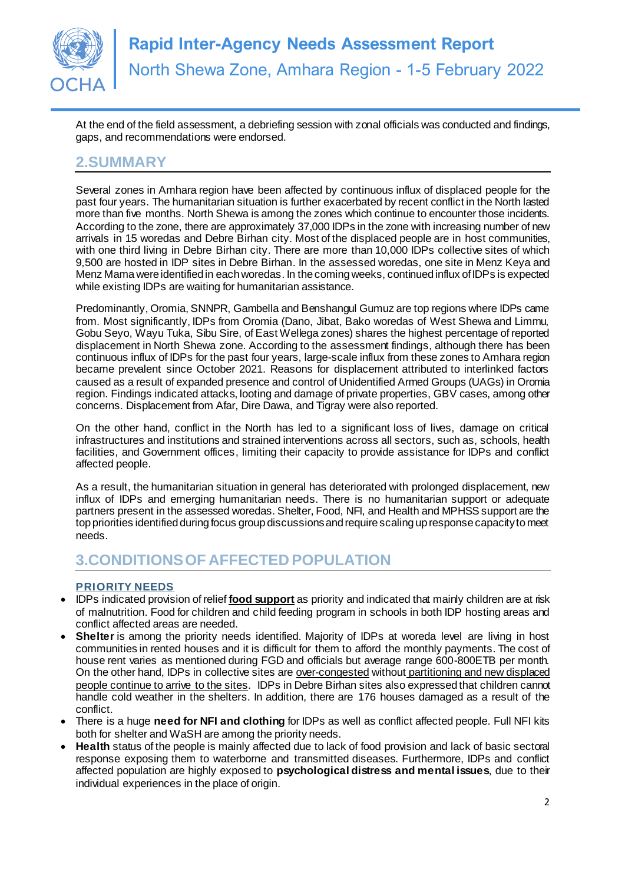

At the end of the field assessment, a debriefing session with zonal officials was conducted and findings, gaps, and recommendations were endorsed.

# **2.SUMMARY**

Several zones in Amhara region have been affected by continuous influx of displaced people for the past four years. The humanitarian situation is further exacerbated by recent conflict in the North lasted more than five months. North Shewa is among the zones which continue to encounter those incidents. According to the zone, there are approximately 37,000 IDPs in the zone with increasing number of new arrivals in 15 woredas and Debre Birhan city. Most of the displaced people are in host communities, with one third living in Debre Birhan city. There are more than 10,000 IDPs collective sites of which 9,500 are hosted in IDP sites in Debre Birhan. In the assessed woredas, one site in Menz Keya and Menz Mama were identified in each woredas. In the coming weeks, continued influx of IDPs is expected while existing IDPs are waiting for humanitarian assistance.

Predominantly, Oromia, SNNPR, Gambella and Benshangul Gumuz are top regions where IDPs came from. Most significantly, IDPs from Oromia (Dano, Jibat, Bako woredas of West Shewa and Limmu, Gobu Seyo, Wayu Tuka, Sibu Sire, of East Wellega zones) shares the highest percentage of reported displacement in North Shewa zone. According to the assessment findings, although there has been continuous influx of IDPs for the past four years, large-scale influx from these zones to Amhara region became prevalent since October 2021. Reasons for displacement attributed to interlinked factors caused as a result of expanded presence and control of Unidentified Armed Groups (UAGs) in Oromia region. Findings indicated attacks, looting and damage of private properties, GBV cases, among other concerns. Displacement from Afar, Dire Dawa, and Tigray were also reported.

On the other hand, conflict in the North has led to a significant loss of lives, damage on critical infrastructures and institutions and strained interventions across all sectors, such as, schools, health facilities, and Government offices, limiting their capacity to provide assistance for IDPs and conflict affected people.

As a result, the humanitarian situation in general has deteriorated with prolonged displacement, new influx of IDPs and emerging humanitarian needs. There is no humanitarian support or adequate partners present in the assessed woredas. Shelter, Food, NFI, and Health and MPHSS support are the top priorities identified during focus group discussions and require scaling up response capacity to meet needs.

# **3.CONDITIONS OF AFFECTED POPULATION**

#### **PRIORITY NEEDS**

- IDPs indicated provision of relief **food support** as priority and indicated that mainly children are at risk of malnutrition. Food for children and child feeding program in schools in both IDP hosting areas and conflict affected areas are needed.
- **Shelter** is among the priority needs identified. Majority of IDPs at woreda level are living in host communities in rented houses and it is difficult for them to afford the monthly payments. The cost of house rent varies as mentioned during FGD and officials but average range 600-800ETB per month. On the other hand, IDPs in collective sites are over-congested without partitioning and new displaced people continue to arrive to the sites. IDPs in Debre Birhan sites also expressed that children cannot handle cold weather in the shelters. In addition, there are 176 houses damaged as a result of the conflict.
- There is a huge **need for NFI and clothing** for IDPs as well as conflict affected people. Full NFI kits both for shelter and WaSH are among the priority needs.
- **Health** status of the people is mainly affected due to lack of food provision and lack of basic sectoral response exposing them to waterborne and transmitted diseases. Furthermore, IDPs and conflict affected population are highly exposed to **psychological distress and mental issues**, due to their individual experiences in the place of origin.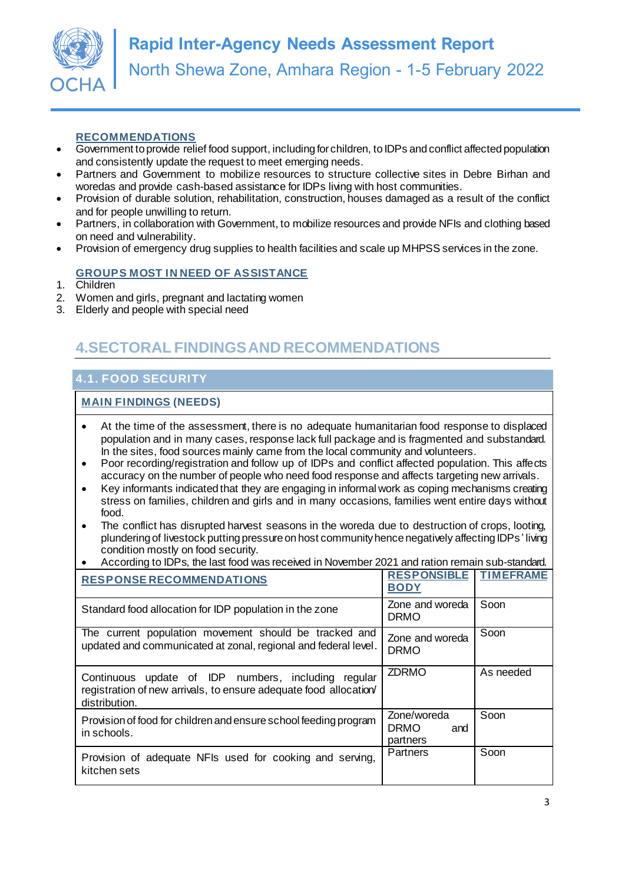

#### **RECOMMENDATIONS**

- Government to provide relief food support, including for children, to IDPs and conflict affected population and consistently update the request to meet emerging needs.
- Partners and Government to mobilize resources to structure collective sites in Debre Birhan and woredas and provide cash-based assistance for IDPs living with host communities.
- Provision of durable solution, rehabilitation, construction, houses damaged as a result of the conflict and for people unwilling to return.
- Partners, in collaboration with Government, to mobilize resources and provide NFIs and clothing based on need and vulnerability.
- Provision of emergency drug supplies to health facilities and scale up MHPSS services in the zone.

#### **GROUPS MOST IN NEED OF ASSISTANCE**

- 1. Children
- 2. Women and girls, pregnant and lactating women
- 3. Elderly and people with special need

# **4.SECTORAL FINDINGS AND RECOMMENDATIONS**

### **4.1. FOOD SECURITY**

- At the time of the assessment, there is no adequate humanitarian food response to displaced population and in many cases, response lack full package and is fragmented and substandard. In the sites, food sources mainly came from the local community and volunteers.
- Poor recording/registration and follow up of IDPs and conflict affected population. This affects accuracy on the number of people who need food response and affects targeting new arrivals.
- Key informants indicated that they are engaging in informal work as coping mechanisms creating stress on families, children and girls and in many occasions, families went entire days without food.
- The conflict has disrupted harvest seasons in the woreda due to destruction of crops, looting, plundering of livestock putting pressure on host community hence negatively affecting IDPs ' living condition mostly on food security.
- According to IDPs, the last food was received in November 2021 and ration remain sub-standard.

|  | <b>RESPONSE RECOMMENDATIONS</b>                                                                                                             | <b>RESPONSIBLE</b><br><b>BODY</b>             | <b>TIMEFRAME</b> |
|--|---------------------------------------------------------------------------------------------------------------------------------------------|-----------------------------------------------|------------------|
|  | Standard food allocation for IDP population in the zone                                                                                     | Zone and woreda<br><b>DRMO</b>                | Soon             |
|  | The current population movement should be tracked and<br>updated and communicated at zonal, regional and federal level.                     | Zone and woreda<br><b>DRMO</b>                | Soon             |
|  | Continuous update of IDP numbers, including<br>reaular<br>registration of new arrivals, to ensure adequate food allocation<br>distribution. | <b>ZDRMO</b>                                  | As needed        |
|  | Provision of food for children and ensure school feeding program<br>in schools.                                                             | Zone/woreda<br><b>DRMO</b><br>and<br>partners | Soon             |
|  | Provision of adequate NFIs used for cooking and serving,<br>kitchen sets                                                                    | Partners                                      | Soon             |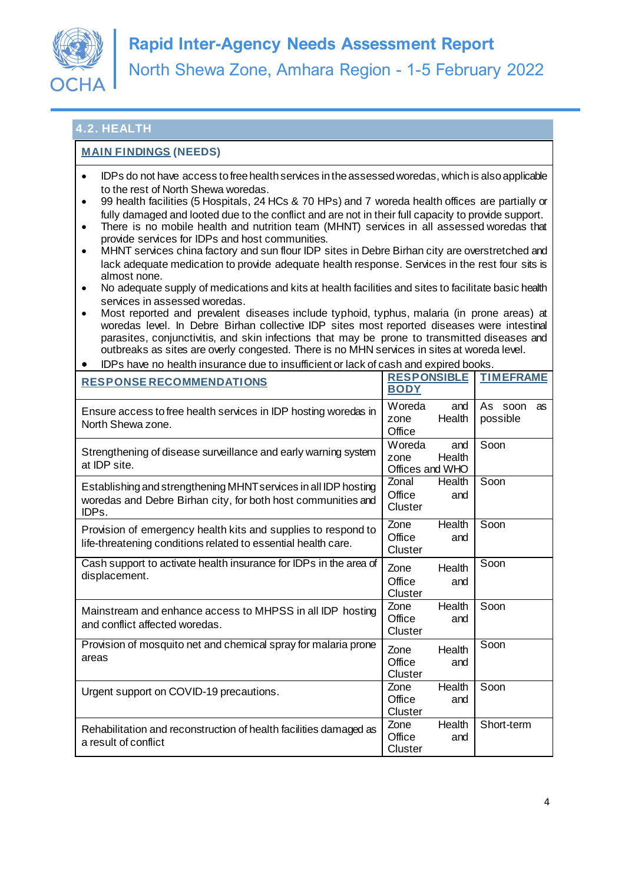

## **4.2. HEALTH**

- IDPs do not have access to free health services in the assessed woredas, which is also applicable to the rest of North Shewa woredas.
- 99 health facilities (5 Hospitals, 24 HCs & 70 HPs) and 7 woreda health offices are partially or fully damaged and looted due to the conflict and are not in their full capacity to provide support.
- There is no mobile health and nutrition team (MHNT) services in all assessed woredas that provide services for IDPs and host communities.
- MHNT services china factory and sun flour IDP sites in Debre Birhan city are overstretched and lack adequate medication to provide adequate health response. Services in the rest four sits is almost none.
- No adequate supply of medications and kits at health facilities and sites to facilitate basic health services in assessed woredas.
- Most reported and prevalent diseases include typhoid, typhus, malaria (in prone areas) at woredas level. In Debre Birhan collective IDP sites most reported diseases were intestinal parasites, conjunctivitis, and skin infections that may be prone to transmitted diseases and outbreaks as sites are overly congested. There is no MHN services in sites at woreda level.
- IDPs have no health insurance due to insufficient or lack of cash and expired books.

| <b>RESPONSE RECOMMENDATIONS</b>                                                                                                          | <b>RESPONSIBLE</b><br><b>BODY</b>                  | <b>TIMEFRAME</b>             |
|------------------------------------------------------------------------------------------------------------------------------------------|----------------------------------------------------|------------------------------|
| Ensure access to free health services in IDP hosting woredas in<br>North Shewa zone.                                                     | Woreda<br>and<br>Health<br>zone<br>Office          | As<br>soon<br>as<br>possible |
| Strengthening of disease surveillance and early warning system<br>at IDP site.                                                           | Woreda<br>and<br>Health<br>zone<br>Offices and WHO | Soon                         |
| Establishing and strengthening MHNT services in all IDP hosting<br>woredas and Debre Birhan city, for both host communities and<br>IDPs. | Zonal<br>Health<br>Office<br>and<br>Cluster        | Soon                         |
| Provision of emergency health kits and supplies to respond to<br>life-threatening conditions related to essential health care.           | Zone<br>Health<br>Office<br>and<br>Cluster         | Soon                         |
| Cash support to activate health insurance for IDPs in the area of<br>displacement.                                                       | Health<br>Zone<br>Office<br>and<br>Cluster         | Soon                         |
| Mainstream and enhance access to MHPSS in all IDP hosting<br>and conflict affected woredas.                                              | Zone<br>Health<br>Office<br>and<br>Cluster         | Soon                         |
| Provision of mosquito net and chemical spray for malaria prone<br>areas                                                                  | Health<br>Zone<br>Office<br>and<br>Cluster         | Soon                         |
| Urgent support on COVID-19 precautions.                                                                                                  | Health<br>Zone<br>Office<br>and<br>Cluster         | Soon                         |
| Rehabilitation and reconstruction of health facilities damaged as<br>a result of conflict                                                | Zone<br>Health<br>Office<br>and<br>Cluster         | Short-term                   |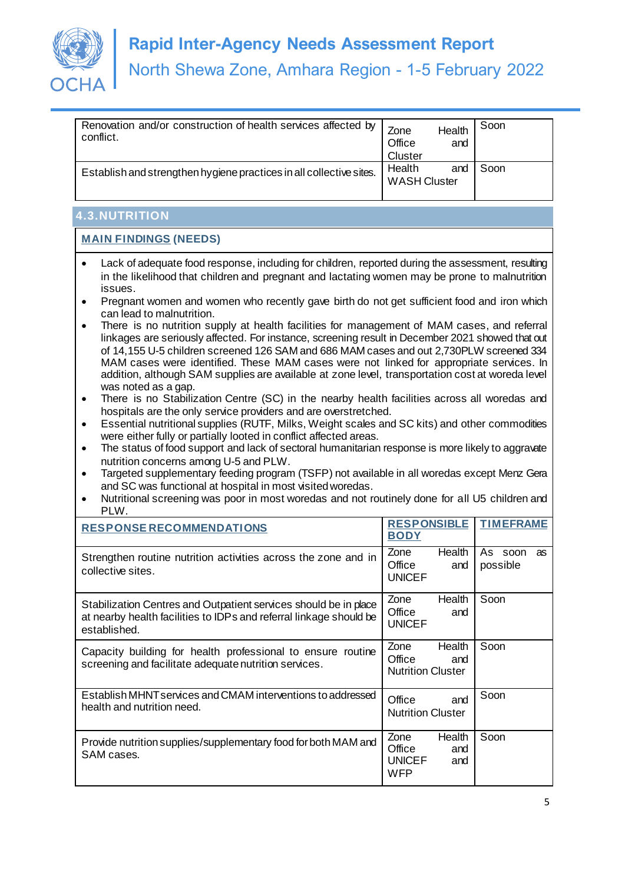

| Renovation and/or construction of health services affected by<br>conflict. | Zone<br>Office<br><b>Cluster</b> | Health<br>and | Soon |
|----------------------------------------------------------------------------|----------------------------------|---------------|------|
| Establish and strengthen hygiene practices in all collective sites.        | Health<br><b>WASH Cluster</b>    | and           | Soon |

# **4.3.NUTRITION**

- Lack of adequate food response, including for children, reported during the assessment, resulting in the likelihood that children and pregnant and lactating women may be prone to malnutrition issues.
- Pregnant women and women who recently gave birth do not get sufficient food and iron which can lead to malnutrition.
- There is no nutrition supply at health facilities for management of MAM cases, and referral linkages are seriously affected. For instance, screening result in December 2021 showed that out of 14,155 U-5 children screened 126 SAM and 686 MAM cases and out 2,730PLW screened 334 MAM cases were identified. These MAM cases were not linked for appropriate services. In addition, although SAM supplies are available at zone level, transportation cost at woreda level was noted as a gap.
- There is no Stabilization Centre (SC) in the nearby health facilities across all woredas and hospitals are the only service providers and are overstretched.
- Essential nutritional supplies (RUTF, Milks, Weight scales and SC kits) and other commodities were either fully or partially looted in conflict affected areas.
- The status of food support and lack of sectoral humanitarian response is more likely to aggravate nutrition concerns among U-5 and PLW.
- Targeted supplementary feeding program (TSFP) not available in all woredas except Menz Gera and SC was functional at hospital in most visited woredas.
- Nutritional screening was poor in most woredas and not routinely done for all U5 children and PLW.

| <b>RESPONSE RECOMMENDATIONS</b>                                                                                                                        | <b>RESPONSIBLE</b><br><b>BODY</b>                                     | <b>TIMEFRAME</b>          |
|--------------------------------------------------------------------------------------------------------------------------------------------------------|-----------------------------------------------------------------------|---------------------------|
| Strengthen routine nutrition activities across the zone and in<br>collective sites.                                                                    | Health<br>Zone<br>Office<br>and<br><b>UNICEF</b>                      | As soon<br>as<br>possible |
| Stabilization Centres and Outpatient services should be in place<br>at nearby health facilities to IDPs and referral linkage should be<br>established. | Zone<br>Health<br>Office<br>and<br><b>UNICEF</b>                      | Soon                      |
| Capacity building for health professional to ensure routine<br>screening and facilitate adequate nutrition services.                                   | Zone<br>Health<br>Office<br>and<br><b>Nutrition Cluster</b>           | Soon                      |
| Establish MHNT services and CMAM interventions to addressed<br>health and nutrition need.                                                              | Office<br>and<br><b>Nutrition Cluster</b>                             | Soon                      |
| Provide nutrition supplies/supplementary food for both MAM and<br>SAM cases.                                                                           | Zone<br>Health<br>Office<br>and<br><b>UNICEF</b><br>and<br><b>WFP</b> | Soon                      |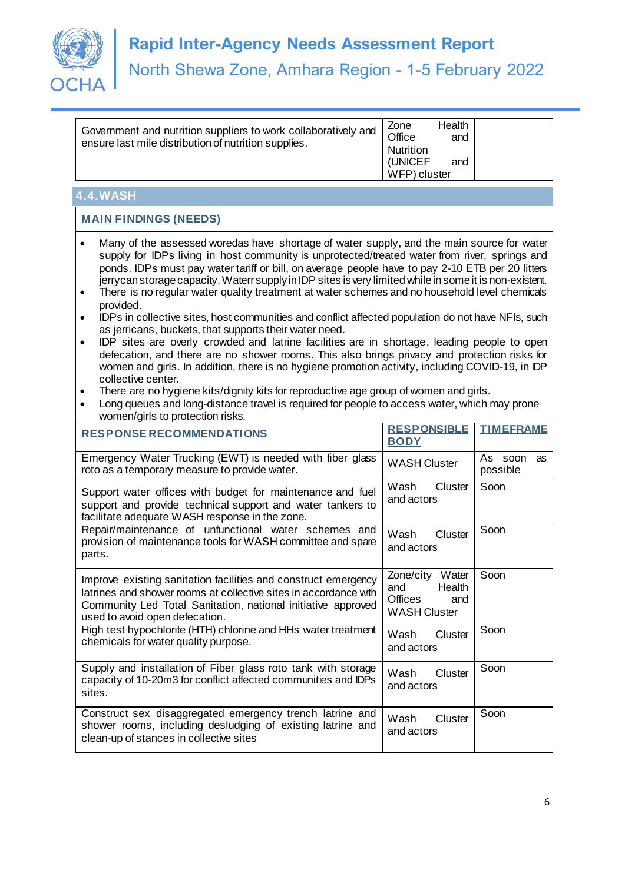

• Government and nutrition suppliers to work collaboratively and ensure last mile distribution of nutrition supplies.

Zone Health Office and **Nutrition** (UNICEF and WFP) cluster

# **4.4.WASH**

- Many of the assessed woredas have shortage of water supply, and the main source for water supply for IDPs living in host community is unprotected/treated water from river, springs and ponds. IDPs must pay water tariff or bill, on average people have to pay 2-10 ETB per 20 litters jerrycan storage capacity*.*Waterr supply in IDP sites is very limited while in some it is non-existent.
- There is no regular water quality treatment at water schemes and no household level chemicals provided.
- IDPs in collective sites, host communities and conflict affected population do not have NFIs, such as jerricans, buckets, that supports their water need.
- IDP sites are overly crowded and latrine facilities are in shortage, leading people to open defecation, and there are no shower rooms. This also brings privacy and protection risks for women and girls. In addition, there is no hygiene promotion activity, including COVID-19, in IDP collective center.
- There are no hygiene kits/dignity kits for reproductive age group of women and girls.
- Long queues and long-distance travel is required for people to access water, which may prone women/girls to protection risks.

| <b>RESPONSE RECOMMENDATIONS</b>                                                                                                                                                                                                      | <b>RESPONSIBLE</b><br><b>BODY</b>                                                | <b>TIMEFRAME</b>          |
|--------------------------------------------------------------------------------------------------------------------------------------------------------------------------------------------------------------------------------------|----------------------------------------------------------------------------------|---------------------------|
| Emergency Water Trucking (EWT) is needed with fiber glass<br>roto as a temporary measure to provide water.                                                                                                                           | <b>WASH Cluster</b>                                                              | As soon<br>as<br>possible |
| Support water offices with budget for maintenance and fuel<br>support and provide technical support and water tankers to<br>facilitate adequate WASH response in the zone.                                                           | Wash<br>Cluster<br>and actors                                                    | Soon                      |
| Repair/maintenance of unfunctional water schemes and<br>provision of maintenance tools for WASH committee and spare<br>parts.                                                                                                        | Wash<br>Cluster<br>and actors                                                    | Soon                      |
| Improve existing sanitation facilities and construct emergency<br>latrines and shower rooms at collective sites in accordance with<br>Community Led Total Sanitation, national initiative approved<br>used to avoid open defecation. | Zone/city Water<br>and<br>Health<br><b>Offices</b><br>and<br><b>WASH Cluster</b> | Soon                      |
| High test hypochlorite (HTH) chlorine and HHs water treatment<br>chemicals for water quality purpose.                                                                                                                                | Wash<br>Cluster<br>and actors                                                    | Soon                      |
| Supply and installation of Fiber glass roto tank with storage<br>capacity of 10-20m3 for conflict affected communities and IDPs<br>sites.                                                                                            | Wash<br>Cluster<br>and actors                                                    | Soon                      |
| Construct sex disaggregated emergency trench latrine and<br>shower rooms, including desludging of existing latrine and<br>clean-up of stances in collective sites                                                                    | Wash<br>Cluster<br>and actors                                                    | Soon                      |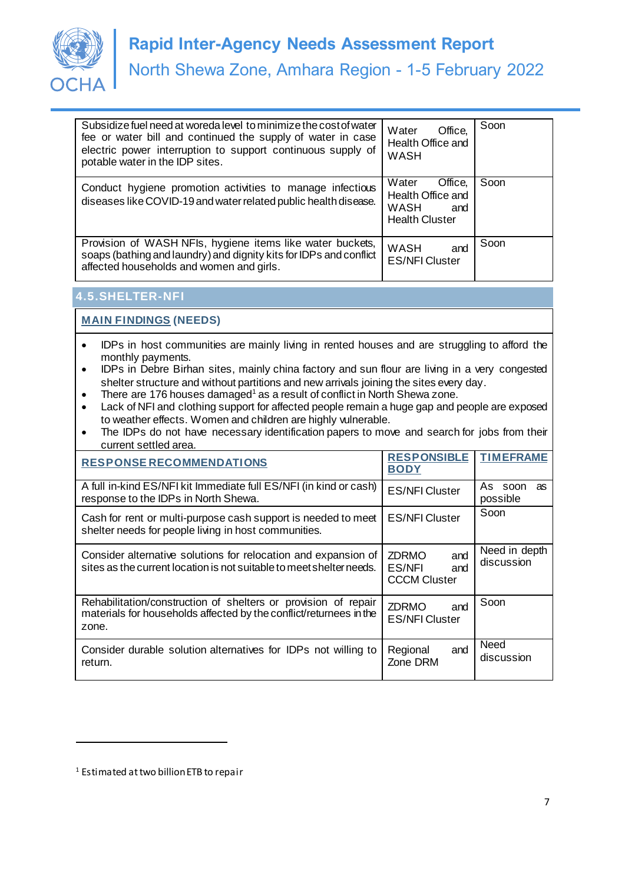

| Subsidize fuel need at woreda level to minimize the cost of water<br>fee or water bill and continued the supply of water in case<br>electric power interruption to support continuous supply of<br>potable water in the IDP sites. | Water<br>Office,<br>Health Office and<br><b>WASH</b>                          | Soon |
|------------------------------------------------------------------------------------------------------------------------------------------------------------------------------------------------------------------------------------|-------------------------------------------------------------------------------|------|
| Conduct hygiene promotion activities to manage infectious<br>diseases like COVID-19 and water related public health disease.                                                                                                       | Office,<br>Water<br>Health Office and<br>WASH<br>and<br><b>Health Cluster</b> | Soon |
| Provision of WASH NFIs, hygiene items like water buckets,<br>soaps (bathing and laundry) and dignity kits for IDPs and conflict<br>affected households and women and girls.                                                        | WASH<br>and<br><b>ES/NFI Cluster</b>                                          | Soon |

# **4.5.SHELTER-NFI**

**MAIN FINDINGS (NEEDS)**

- IDPs in host communities are mainly living in rented houses and are struggling to afford the monthly payments.
- IDPs in Debre Birhan sites, mainly china factory and sun flour are living in a very congested shelter structure and without partitions and new arrivals joining the sites every day.
- There are 176 houses damaged<sup>1</sup> as a result of conflict in North Shewa zone.
- Lack of NFI and clothing support for affected people remain a huge gap and people are exposed to weather effects. Women and children are highly vulnerable.
- The IDPs do not have necessary identification papers to move and search for jobs from their current settled area.

| <b>RESPONSE RECOMMENDATIONS</b>                                                                                                               | <b>RESPONSIBLE</b><br><b>BODY</b>                           | <b>TIMEFRAME</b>            |
|-----------------------------------------------------------------------------------------------------------------------------------------------|-------------------------------------------------------------|-----------------------------|
| A full in-kind ES/NFI kit Immediate full ES/NFI (in kind or cash)<br>response to the IDPs in North Shewa.                                     | <b>ES/NFI Cluster</b>                                       | As soon<br>as<br>possible   |
| Cash for rent or multi-purpose cash support is needed to meet<br>shelter needs for people living in host communities.                         | <b>ES/NFI Cluster</b>                                       | Soon                        |
| Consider alternative solutions for relocation and expansion of<br>sites as the current location is not suitable to meet shelter needs.        | <b>ZDRMO</b><br>and<br>ES/NFI<br>and<br><b>CCCM Cluster</b> | Need in depth<br>discussion |
| Rehabilitation/construction of shelters or provision of repair<br>materials for households affected by the conflict/returnees in the<br>zone. | <b>ZDRMO</b><br>and<br><b>ES/NFI Cluster</b>                | Soon                        |
| Consider durable solution alternatives for IDPs not willing to<br>return.                                                                     | and<br>Regional<br>Zone DRM                                 | Need<br>discussion          |

l

<sup>1</sup> Estimated at two billion ETB to repair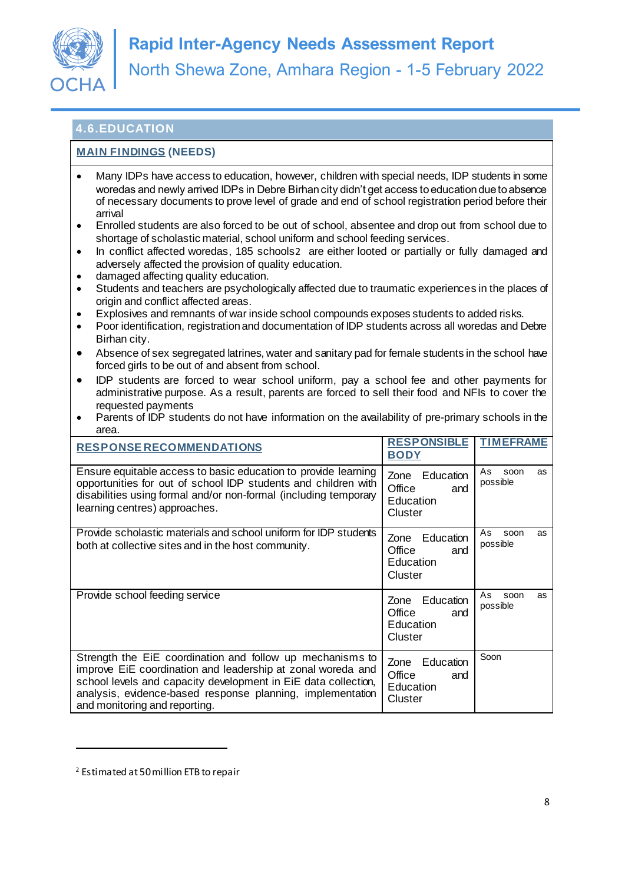

# **4.6.EDUCATION**

## **MAIN FINDINGS (NEEDS)**

- Many IDPs have access to education, however, children with special needs, IDP students in some woredas and newly arrived IDPs in Debre Birhan city didn't get access to education due to absence of necessary documents to prove level of grade and end of school registration period before their arrival
- Enrolled students are also forced to be out of school, absentee and drop out from school due to shortage of scholastic material, school uniform and school feeding services.
- In conflict affected woredas, 185 schools2 are either looted or partially or fully damaged and adversely affected the provision of quality education.
- damaged affecting quality education.
- Students and teachers are psychologically affected due to traumatic experiences in the places of origin and conflict affected areas.
- Explosives and remnants of war inside school compounds exposes students to added risks.
- Poor identification, registration and documentation of IDP students across all woredas and Debre Birhan city.
- Absence of sex segregated latrines, water and sanitary pad for female students in the school have forced girls to be out of and absent from school.
- IDP students are forced to wear school uniform, pay a school fee and other payments for administrative purpose. As a result, parents are forced to sell their food and NFIs to cover the requested payments
- Parents of IDP students do not have information on the availability of pre-primary schools in the area.

| <b>RESPONSE RECOMMENDATIONS</b>                                                                                                                                                                                                                                                           | <b>RESPONSIBLE</b><br><b>BODY</b>                          | <b>TIMEFRAME</b>             |
|-------------------------------------------------------------------------------------------------------------------------------------------------------------------------------------------------------------------------------------------------------------------------------------------|------------------------------------------------------------|------------------------------|
| Ensure equitable access to basic education to provide learning<br>opportunities for out of school IDP students and children with<br>disabilities using formal and/or non-formal (including temporary<br>learning centres) approaches.                                                     | Zone<br>Education<br>Office<br>and<br>Education<br>Cluster | As<br>soon<br>as<br>possible |
| Provide scholastic materials and school uniform for IDP students<br>both at collective sites and in the host community.                                                                                                                                                                   | Education<br>Zone<br>Office<br>and<br>Education<br>Cluster | As<br>soon<br>as<br>possible |
| Provide school feeding service                                                                                                                                                                                                                                                            | Education<br>Zone<br>Office<br>and<br>Education<br>Cluster | As<br>soon<br>as<br>possible |
| Strength the EiE coordination and follow up mechanisms to<br>improve EiE coordination and leadership at zonal woreda and<br>school levels and capacity development in EiE data collection,<br>analysis, evidence-based response planning, implementation<br>and monitoring and reporting. | Zone<br>Education<br>Office<br>and<br>Education<br>Cluster | Soon                         |

l

<sup>2</sup> Estimated at 50 million ETB to repair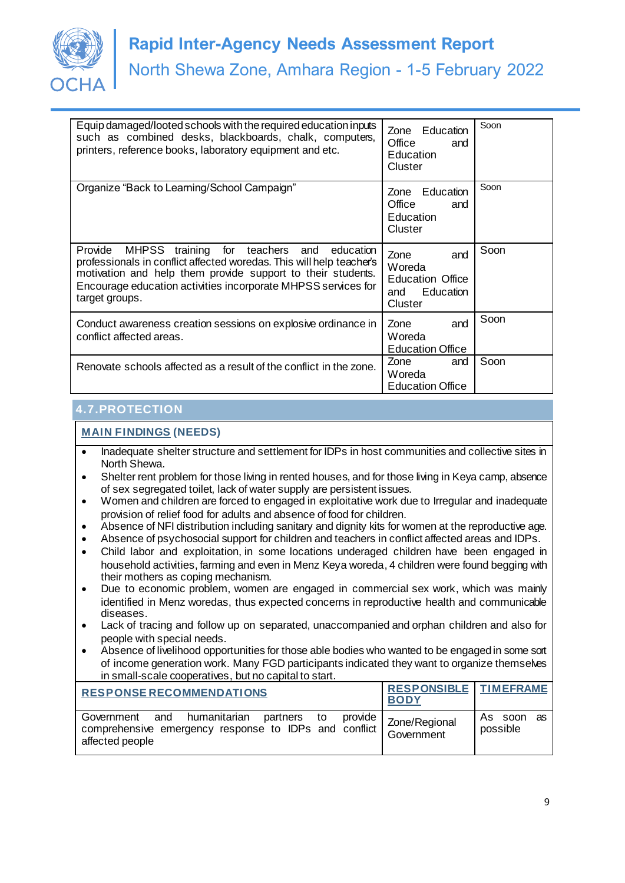

| Equip damaged/looted schools with the required education inputs<br>such as combined desks, blackboards, chalk, computers,<br>printers, reference books, laboratory equipment and etc.                                                                                                   | Zone Education<br>Office<br>and<br>Education<br>Cluster                         | Soon |
|-----------------------------------------------------------------------------------------------------------------------------------------------------------------------------------------------------------------------------------------------------------------------------------------|---------------------------------------------------------------------------------|------|
| Organize "Back to Learning/School Campaign"                                                                                                                                                                                                                                             | Education<br>Zone<br>Office<br>and<br>Education<br>Cluster                      | Soon |
| Provide<br>for teachers<br>MHPSS training<br>education<br>and<br>professionals in conflict affected woredas. This will help teacher's<br>motivation and help them provide support to their students.<br>Encourage education activities incorporate MHPSS services for<br>target groups. | Zone<br>and<br>Woreda<br><b>Education Office</b><br>Education<br>and<br>Cluster | Soon |
| Conduct awareness creation sessions on explosive ordinance in<br>conflict affected areas.                                                                                                                                                                                               | Zone<br>and<br>Woreda<br><b>Education Office</b>                                | Soon |
| Renovate schools affected as a result of the conflict in the zone.                                                                                                                                                                                                                      | Zone<br>and<br>Woreda<br><b>Education Office</b>                                | Soon |

## **4.7.PROTECTION**

- Inadequate shelter structure and settlement for IDPs in host communities and collective sites in North Shewa.
- Shelter rent problem for those living in rented houses, and for those living in Keya camp, absence of sex segregated toilet, lack of water supply are persistent issues.
- Women and children are forced to engaged in exploitative work due to Irregular and inadequate provision of relief food for adults and absence of food for children.
- Absence of NFI distribution including sanitary and dignity kits for women at the reproductive age.
- Absence of psychosocial support for children and teachers in conflict affected areas and IDPs.
- Child labor and exploitation, in some locations underaged children have been engaged in household activities, farming and even in Menz Keya woreda, 4 children were found begging with their mothers as coping mechanism.
- Due to economic problem, women are engaged in commercial sex work, which was mainly identified in Menz woredas, thus expected concerns in reproductive health and communicable diseases.
- Lack of tracing and follow up on separated, unaccompanied and orphan children and also for people with special needs.
- Absence of livelihood opportunities for those able bodies who wanted to be engaged in some sort of income generation work. Many FGD participants indicated they want to organize themselves in small-scale cooperatives, but no capital to start.

| <b>RESPONSE RECOMMENDATIONS</b>                                                                                             | <b>RESPONSIBLE TIMEFRAME</b><br><b>BODY</b> |                        |
|-----------------------------------------------------------------------------------------------------------------------------|---------------------------------------------|------------------------|
| Government and humanitarian partners to provide<br>comprehensive emergency response to IDPs and conflict<br>affected people | Zone/Regional<br>Government                 | As soon as<br>possible |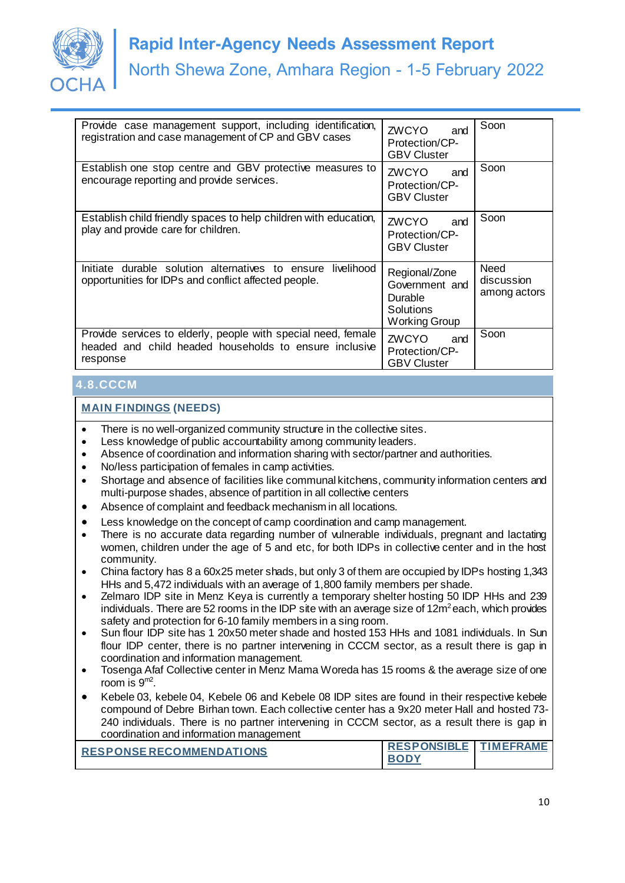

| Provide case management support, including identification,<br>registration and case management of CP and GBV cases                  | ZWCYO<br>and<br>Protection/CP-<br><b>GBV Cluster</b>                                   | Soon                               |
|-------------------------------------------------------------------------------------------------------------------------------------|----------------------------------------------------------------------------------------|------------------------------------|
| Establish one stop centre and GBV protective measures to<br>encourage reporting and provide services.                               | ZWCYO<br>and<br>Protection/CP-<br><b>GBV Cluster</b>                                   | Soon                               |
| Establish child friendly spaces to help children with education,<br>play and provide care for children.                             | <b>ZWCYO</b><br>and<br>Protection/CP-<br><b>GBV Cluster</b>                            | Soon                               |
| Initiate durable solution alternatives to ensure<br>livelihood<br>opportunities for IDPs and conflict affected people.              | Regional/Zone<br>Government and<br>Durable<br><b>Solutions</b><br><b>Working Group</b> | Need<br>discussion<br>among actors |
| Provide services to elderly, people with special need, female<br>headed and child headed households to ensure inclusive<br>response | ZWCYO<br>and<br>Protection/CP-<br><b>GBV Cluster</b>                                   | Soon                               |

## **4.8.CCCM**

- There is no well-organized community structure in the collective sites.
- Less knowledge of public accountability among community leaders.
- Absence of coordination and information sharing with sector/partner and authorities.
- No/less participation of females in camp activities.
- Shortage and absence of facilities like communal kitchens, community information centers and multi-purpose shades, absence of partition in all collective centers
- Absence of complaint and feedback mechanism in all locations.
- Less knowledge on the concept of camp coordination and camp management.
- There is no accurate data regarding number of vulnerable individuals, pregnant and lactating women, children under the age of 5 and etc, for both IDPs in collective center and in the host community.
- China factory has 8 a 60x25 meter shads, but only 3 of them are occupied by IDPs hosting 1,343 HHs and 5,472 individuals with an average of 1,800 family members per shade.
- Zelmaro IDP site in Menz Keya is currently a temporary shelter hosting 50 IDP HHs and 239 individuals. There are 52 rooms in the IDP site with an average size of  $12m^2$  each, which provides safety and protection for 6-10 family members in a sing room.
- Sun flour IDP site has 1 20x50 meter shade and hosted 153 HHs and 1081 individuals. In Sun flour IDP center, there is no partner intervening in CCCM sector, as a result there is gap in coordination and information management.
- Tosenga Afaf Collective center in Menz Mama Woreda has 15 rooms & the average size of one room is 9m2 .
- Kebele 03, kebele 04, Kebele 06 and Kebele 08 IDP sites are found in their respective kebele compound of Debre Birhan town. Each collective center has a 9x20 meter Hall and hosted 73- 240 individuals. There is no partner intervening in CCCM sector, as a result there is gap in coordination and information management

| <b>RESPONSERECOMMENDATIONS</b> | <b>RESPONSIBLE TIMEFRAME</b> |  |
|--------------------------------|------------------------------|--|
|                                |                              |  |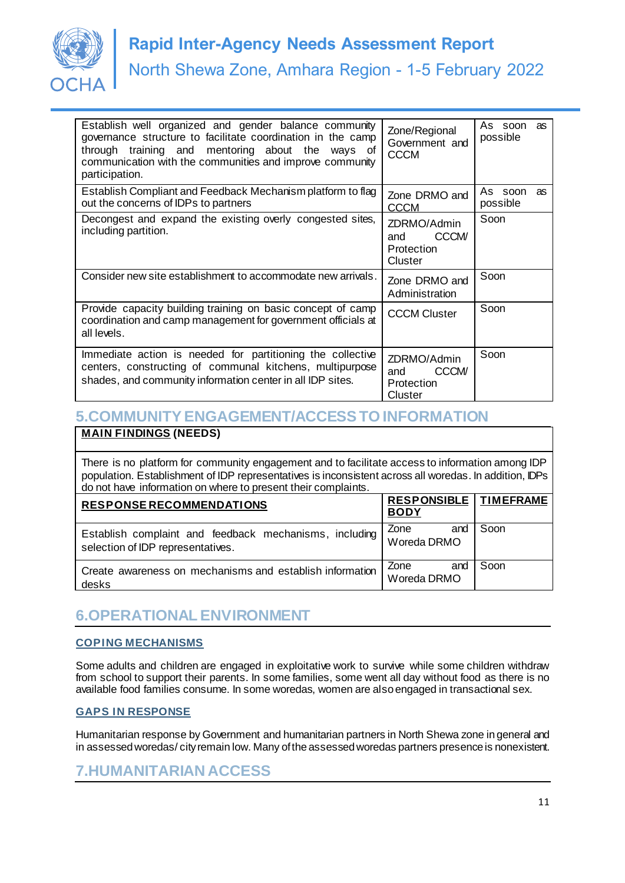

| Establish well organized and gender balance community<br>governance structure to facilitate coordination in the camp<br>through training and mentoring about the ways<br>of<br>communication with the communities and improve community<br>participation. | Zone/Regional<br>Government and<br><b>CCCM</b>              | As soon<br>as<br>possible |
|-----------------------------------------------------------------------------------------------------------------------------------------------------------------------------------------------------------------------------------------------------------|-------------------------------------------------------------|---------------------------|
| Establish Compliant and Feedback Mechanism platform to flag<br>out the concerns of IDPs to partners                                                                                                                                                       | Zone DRMO and<br><b>CCCM</b>                                | As soon<br>as<br>possible |
| Decongest and expand the existing overly congested sites,<br>including partition.                                                                                                                                                                         | ZDRMO/Admin<br><b>CCCM/</b><br>and<br>Protection<br>Cluster | Soon                      |
| Consider new site establishment to accommodate new arrivals.                                                                                                                                                                                              | Zone DRMO and<br>Administration                             | Soon                      |
| Provide capacity building training on basic concept of camp<br>coordination and camp management for government officials at<br>all levels.                                                                                                                | <b>CCCM Cluster</b>                                         | Soon                      |
| Immediate action is needed for partitioning the collective<br>centers, constructing of communal kitchens, multipurpose<br>shades, and community information center in all IDP sites.                                                                      | ZDRMO/Admin<br><b>CCCM/</b><br>and<br>Protection<br>Cluster | Soon                      |

# **5.COMMUNITY ENGAGEMENT/ACCESS TO INFORMATION**

### **MAIN FINDINGS (NEEDS)**

• There is no platform for community engagement and to facilitate access to information among IDP population. Establishment of IDP representatives is inconsistent across all woredas. In addition, IDPs do not have information on where to present their complaints.

| <b>RESPONSE RECOMMENDATIONS</b>                                                             | <b>RESPONSIBLE   TIMEFRAME</b><br><b>BODY</b> |      |
|---------------------------------------------------------------------------------------------|-----------------------------------------------|------|
| Establish complaint and feedback mechanisms, including<br>selection of IDP representatives. | Zone<br>and<br>Woreda DRMO                    | Soon |
| Create awareness on mechanisms and establish information<br>desks                           | Zone<br>and<br>Woreda DRMO                    | Soon |

# **6.OPERATIONAL ENVIRONMENT**

#### **COPING MECHANISMS**

Some adults and children are engaged in exploitative work to survive while some children withdraw from school to support their parents. In some families, some went all day without food as there is no available food families consume. In some woredas, women are also engaged in transactional sex.

#### **GAPS IN RESPONSE**

Humanitarian response by Government and humanitarian partners in North Shewa zone in general and in assessed woredas/ city remain low. Many of the assessed woredas partners presence is nonexistent.

## **7.HUMANITARIAN ACCESS**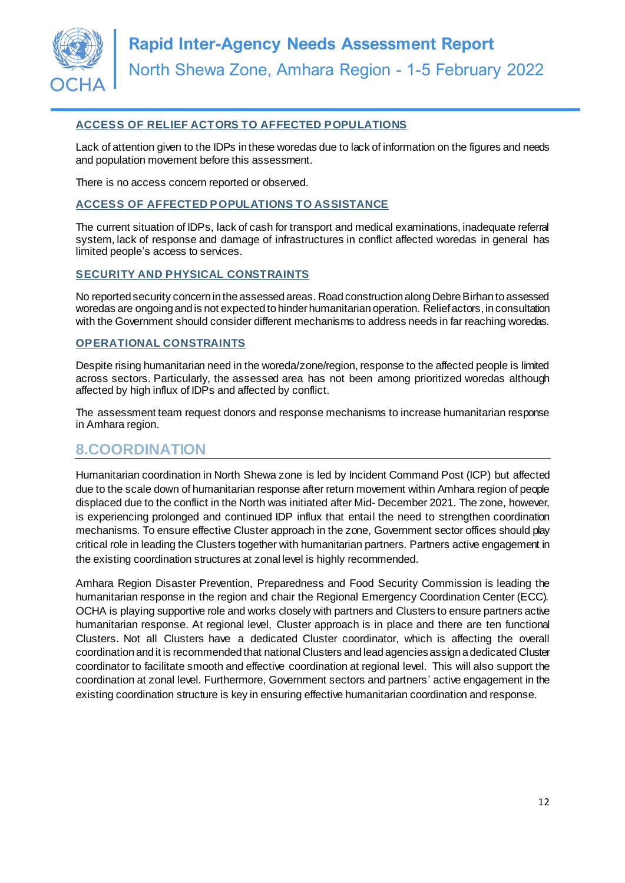

#### **ACCESS OF RELIEF ACTORS TO AFFECTED POPULATIONS**

Lack of attention given to the IDPs in these woredas due to lack of information on the figures and needs and population movement before this assessment.

There is no access concern reported or observed.

#### **ACCESS OF AFFECTED POPULATIONS TO ASSISTANCE**

The current situation of IDPs, lack of cash for transport and medical examinations, inadequate referral system, lack of response and damage of infrastructures in conflict affected woredas in general has limited people's access to services.

#### **SECURITY AND PHYSICAL CONSTRAINTS**

No reported security concern in the assessed areas. Road construction along Debre Birhan to assessed woredas are ongoing and is not expected to hinder humanitarian operation. Relief actors, in consultation with the Government should consider different mechanisms to address needs in far reaching woredas.

#### **OPERATIONAL CONSTRAINTS**

Despite rising humanitarian need in the woreda/zone/region, response to the affected people is limited across sectors. Particularly, the assessed area has not been among prioritized woredas although affected by high influx of IDPs and affected by conflict.

The assessment team request donors and response mechanisms to increase humanitarian response in Amhara region.

## **8.COORDINATION**

Humanitarian coordination in North Shewa zone is led by Incident Command Post (ICP) but affected due to the scale down of humanitarian response after return movement within Amhara region of people displaced due to the conflict in the North was initiated after Mid- December 2021. The zone, however, is experiencing prolonged and continued IDP influx that entail the need to strengthen coordination mechanisms. To ensure effective Cluster approach in the zone, Government sector offices should play critical role in leading the Clusters together with humanitarian partners. Partners active engagement in the existing coordination structures at zonal level is highly recommended.

Amhara Region Disaster Prevention, Preparedness and Food Security Commission is leading the humanitarian response in the region and chair the Regional Emergency Coordination Center (ECC). OCHA is playing supportive role and works closely with partners and Clusters to ensure partners active humanitarian response. At regional level, Cluster approach is in place and there are ten functional Clusters. Not all Clusters have a dedicated Cluster coordinator, which is affecting the overall coordination and it is recommended that national Clusters and lead agencies assign a dedicated Cluster coordinator to facilitate smooth and effective coordination at regional level. This will also support the coordination at zonal level. Furthermore, Government sectors and partners' active engagement in the existing coordination structure is key in ensuring effective humanitarian coordination and response.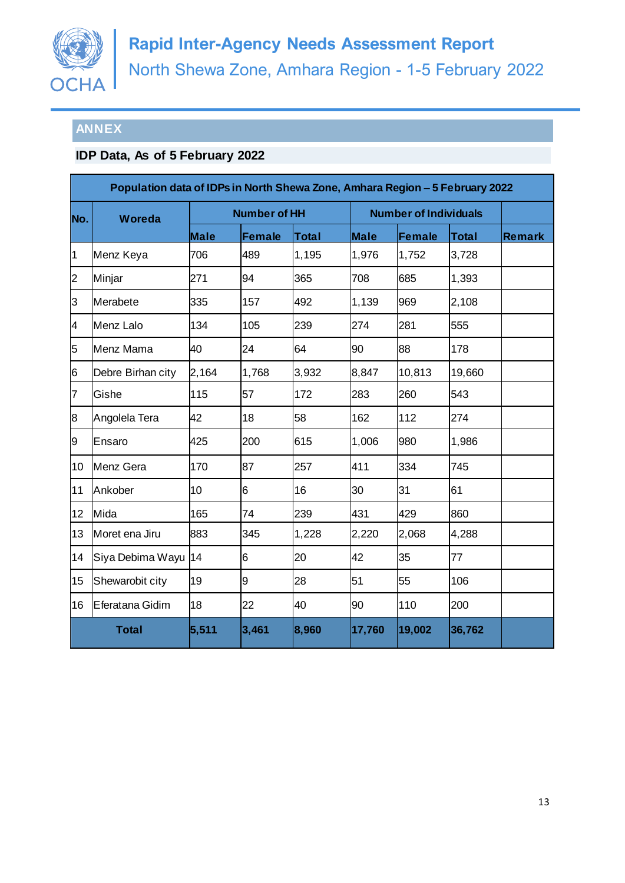

# **ANNEX**

# **IDP Data, As of 5 February 2022**

|                 | Population data of IDPs in North Shewa Zone, Amhara Region - 5 February 2022 |                     |               |              |                              |               |              |               |
|-----------------|------------------------------------------------------------------------------|---------------------|---------------|--------------|------------------------------|---------------|--------------|---------------|
| No.             | Woreda                                                                       | <b>Number of HH</b> |               |              | <b>Number of Individuals</b> |               |              |               |
|                 |                                                                              | <b>Male</b>         | <b>Female</b> | <b>Total</b> | <b>Male</b>                  | <b>Female</b> | <b>Total</b> | <b>Remark</b> |
| $\overline{1}$  | Menz Keya                                                                    | 706                 | 489           | 1,195        | 1,976                        | 1,752         | 3,728        |               |
| $\overline{c}$  | Minjar                                                                       | 271                 | 94            | 365          | 708                          | 685           | 1,393        |               |
| 3               | Merabete                                                                     | 335                 | 157           | 492          | 1,139                        | 969           | 2,108        |               |
| $\overline{4}$  | Menz Lalo                                                                    | 134                 | 105           | 239          | 274                          | 281           | 555          |               |
| 5               | Menz Mama                                                                    | 40                  | 24            | 64           | 90                           | 88            | 178          |               |
| 6               | Debre Birhan city                                                            | 2,164               | 1,768         | 3,932        | 8,847                        | 10,813        | 19,660       |               |
| 7               | Gishe                                                                        | 115                 | 57            | 172          | 283                          | 260           | 543          |               |
| 8               | Angolela Tera                                                                | 42                  | 18            | 58           | 162                          | 112           | 274          |               |
| 9               | Ensaro                                                                       | 425                 | 200           | 615          | 1,006                        | 980           | 1,986        |               |
| 10              | <b>Menz Gera</b>                                                             | 170                 | 87            | 257          | 411                          | 334           | 745          |               |
| 11              | Ankober                                                                      | 10                  | 6             | 16           | 30                           | 31            | 61           |               |
| 12 <sub>2</sub> | Mida                                                                         | 165                 | 74            | 239          | 431                          | 429           | 860          |               |
| 13              | Moret ena Jiru                                                               | 883                 | 345           | 1,228        | 2,220                        | 2,068         | 4,288        |               |
| 14              | Siya Debima Wayu                                                             | 14                  | 6             | 20           | 42                           | 35            | 77           |               |
| 15              | Shewarobit city                                                              | 19                  | 9             | 28           | 51                           | 55            | 106          |               |
| 16              | Eferatana Gidim                                                              | 18                  | 22            | 40           | 90                           | 110           | 200          |               |
|                 | <b>Total</b>                                                                 | 5,511               | 3,461         | 8,960        | 17,760                       | 19,002        | 36,762       |               |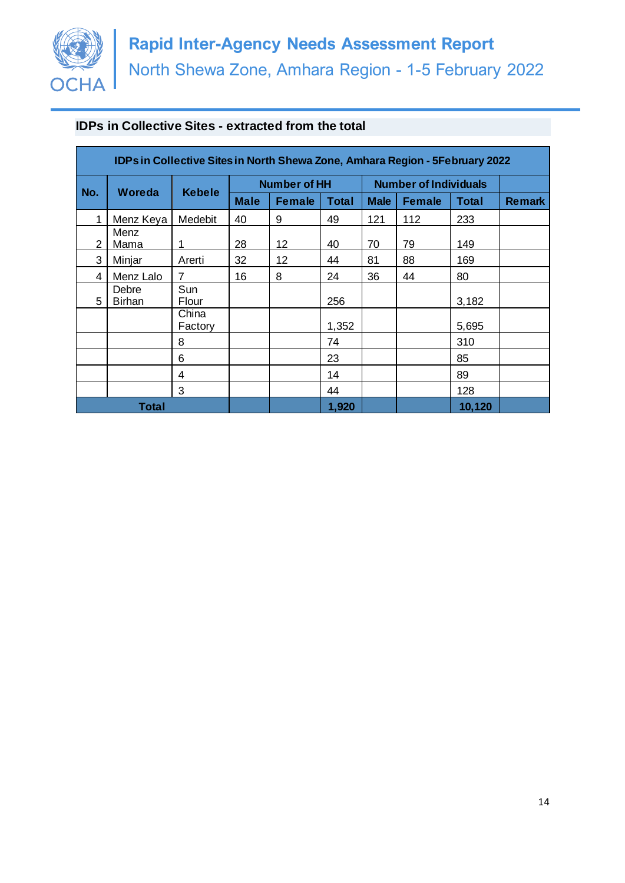

## **IDPs in Collective Sites - extracted from the total**

| <b>IDPs in Collective Sites in North Shewa Zone, Amhara Region - 5February 2022</b> |                        |                  |                     |               |              |                              |               |              |               |
|-------------------------------------------------------------------------------------|------------------------|------------------|---------------------|---------------|--------------|------------------------------|---------------|--------------|---------------|
| No.                                                                                 | Woreda                 | <b>Kebele</b>    | <b>Number of HH</b> |               |              | <b>Number of Individuals</b> |               |              |               |
|                                                                                     |                        |                  | <b>Male</b>         | <b>Female</b> | <b>Total</b> | <b>Male</b>                  | <b>Female</b> | <b>Total</b> | <b>Remark</b> |
| 1                                                                                   | Menz Keya              | Medebit          | 40                  | 9             | 49           | 121                          | 112           | 233          |               |
| 2                                                                                   | Menz<br>Mama           | 1                | 28                  | 12            | 40           | 70                           | 79            | 149          |               |
| 3                                                                                   | Minjar                 | Arerti           | 32                  | 12            | 44           | 81                           | 88            | 169          |               |
| 4                                                                                   | Menz Lalo              | $\overline{7}$   | 16                  | 8             | 24           | 36                           | 44            | 80           |               |
| 5                                                                                   | Debre<br><b>Birhan</b> | Sun<br>Flour     |                     |               | 256          |                              |               | 3,182        |               |
|                                                                                     |                        | China<br>Factory |                     |               | 1,352        |                              |               | 5,695        |               |
|                                                                                     |                        | 8                |                     |               | 74           |                              |               | 310          |               |
|                                                                                     |                        | 6                |                     |               | 23           |                              |               | 85           |               |
|                                                                                     |                        | 4                |                     |               | 14           |                              |               | 89           |               |
|                                                                                     |                        | 3                |                     |               | 44           |                              |               | 128          |               |
| Total                                                                               |                        |                  |                     |               | 1,920        |                              |               | 10,120       |               |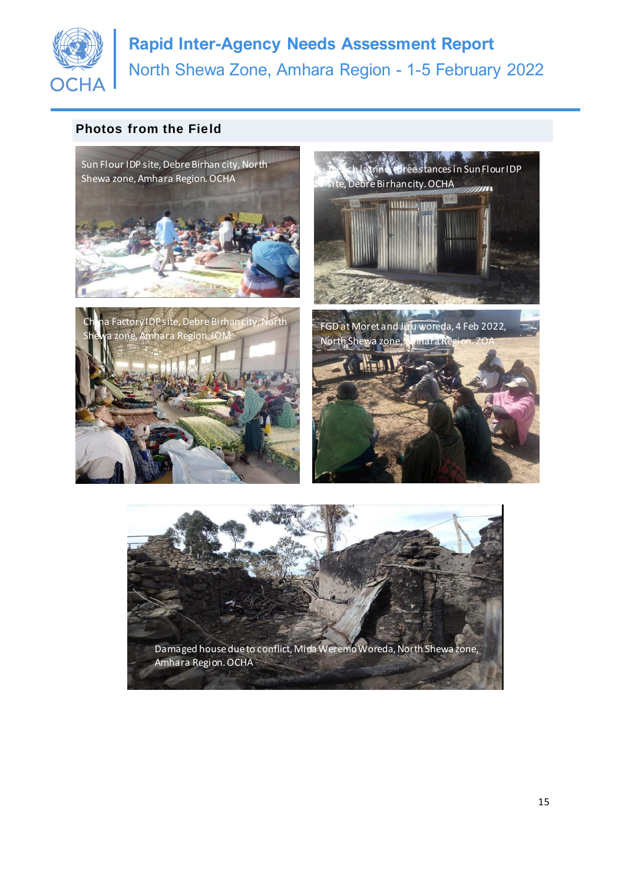

# **Photos from the Field**



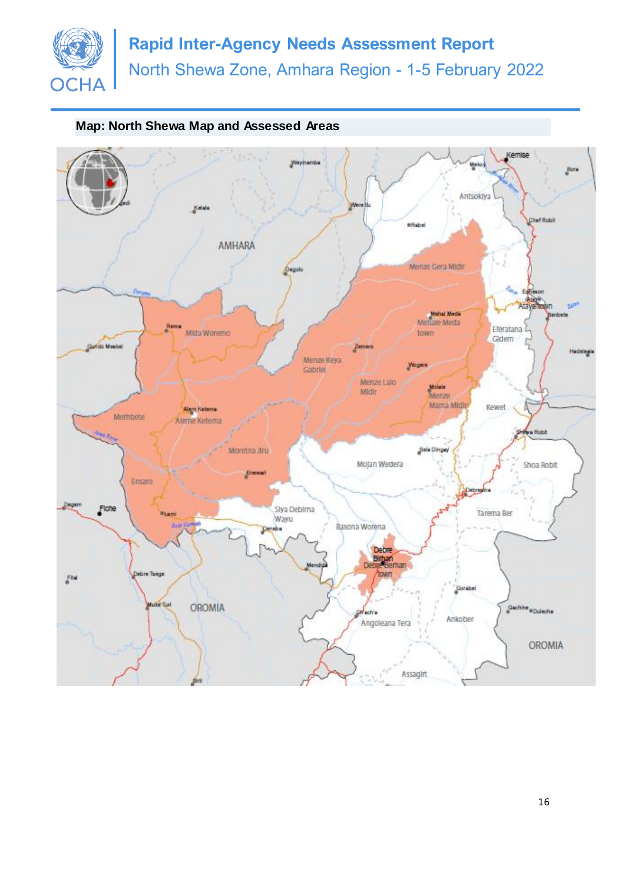

## **Map: North Shewa Map and Assessed Areas**

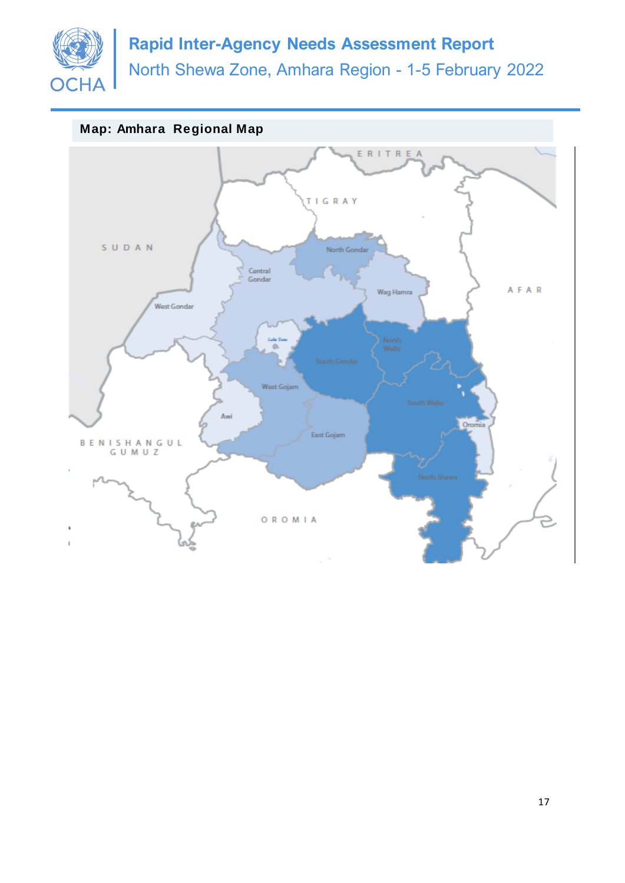